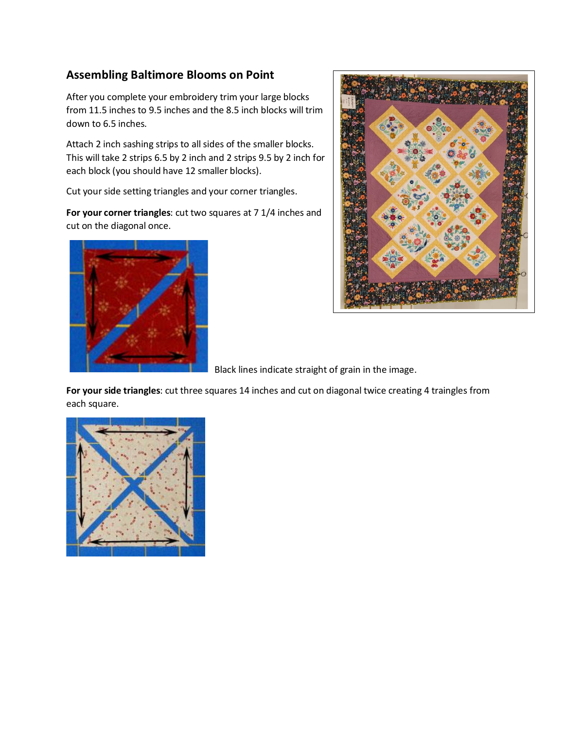## **Assembling Baltimore Blooms on Point**

After you complete your embroidery trim your large blocks from 11.5 inches to 9.5 inches and the 8.5 inch blocks will trim down to 6.5 inches.

Attach 2 inch sashing strips to all sides of the smaller blocks. This will take 2 strips 6.5 by 2 inch and 2 strips 9.5 by 2 inch for each block (you should have 12 smaller blocks).

Cut your side setting triangles and your corner triangles.

**For your corner triangles**: cut two squares at 7 1/4 inches and cut on the diagonal once.





Black lines indicate straight of grain in the image.

**For your side triangles**: cut three squares 14 inches and cut on diagonal twice creating 4 traingles from each square.

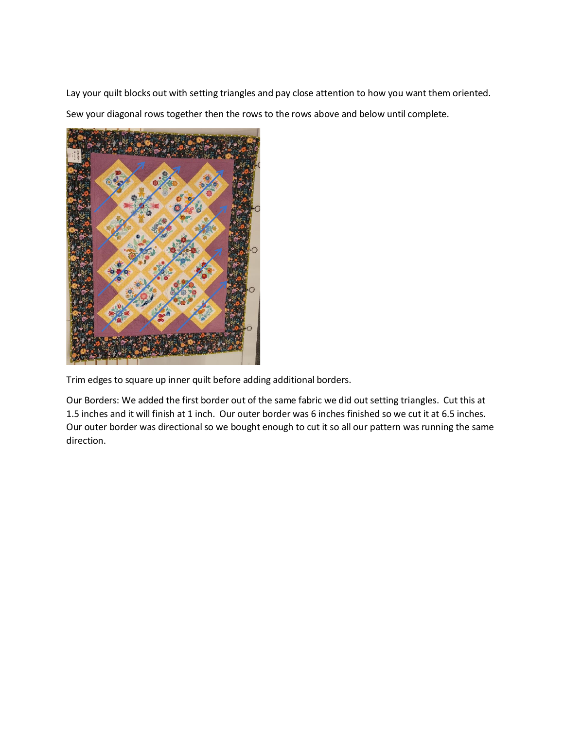Lay your quilt blocks out with setting triangles and pay close attention to how you want them oriented. Sew your diagonal rows together then the rows to the rows above and below until complete.



Trim edges to square up inner quilt before adding additional borders.

Our Borders: We added the first border out of the same fabric we did out setting triangles. Cut this at 1.5 inches and it will finish at 1 inch. Our outer border was 6 inches finished so we cut it at 6.5 inches. Our outer border was directional so we bought enough to cut it so all our pattern was running the same direction.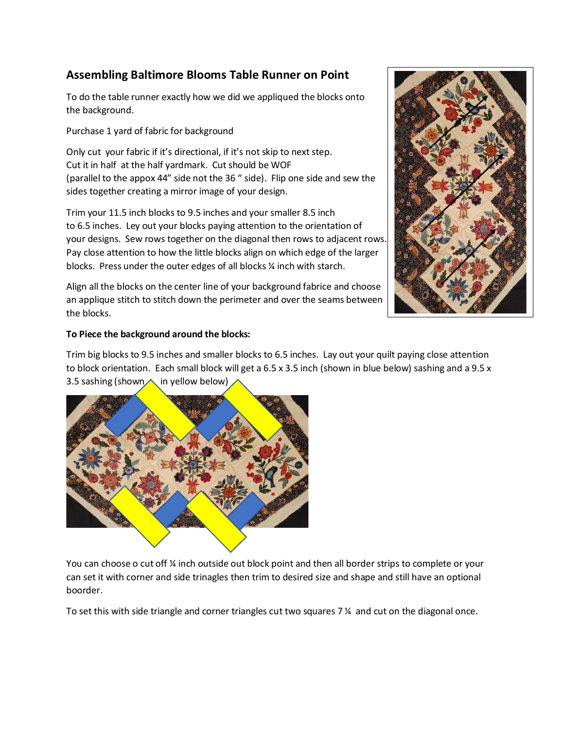## **Assembling Baltimore Blooms Table Runner on Point**

To do the table runner exactly how we did we appliqued the blocks onto the background.

Purchase 1 yard of fabric for background

Only cut your fabric if it's directional, if it's not skip to next step. Cut it in half at the half yardmark. Cut should be WOF (parallel to the appox 44" side not the 36 " side). Flip one side and sew the sides together creating a mirror image of your design.

Trim your 11.5 inch blocks to 9.5 inches and your smaller 8.5 inch to 6.5 inches. Ley out your blocks paying attention to the orientation of your designs. Sew rows together on the diagonal then rows to adjacent rows. Pay close attention to how the little blocks align on which edge of the larger blocks. Press under the outer edges of all blocks ¼ inch with starch.

Align all the blocks on the center line of your background fabrice and choose an applique stitch to stitch down the perimeter and over the seams between the blocks.



Trim big blocks to 9.5 inches and smaller blocks to 6.5 inches. Lay out your quilt paying close attention to block orientation. Each small block will get a 6.5 x 3.5 inch (shown in blue below) sashing and a 9.5 x 3.5 sashing (shown $\wedge$  in yellow below)



You can choose o cut off % inch outside out block point and then all border strips to complete or your can set it with corner and side trinagles then trim to desired size and shape and still have an optional boorder.

To set this with side triangle and corner triangles cut two squares 7 ¼ and cut on the diagonal once.